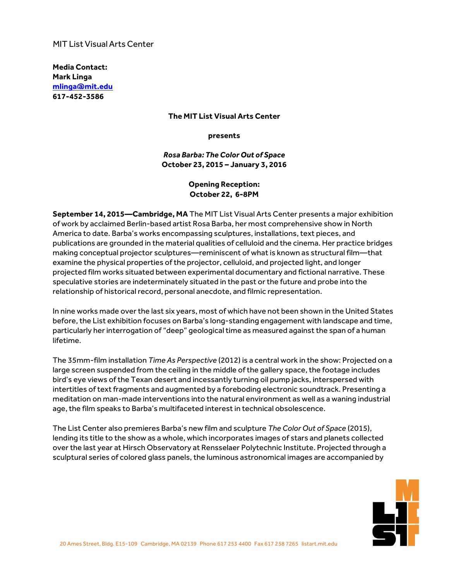## **MIT List Visual Arts Center**

**Media Contact: Mark Linga [mlinga@mit.edu](mailto:mlinga@mit.edu) [617-452-3586](tel:6174523586)**

#### **The MIT List Visual Arts Center**

**presents**

*Rosa Barba: The Color Out of Space* **October 23, 2015 – January 3, 2016**

# **Opening Reception: October 22, 6-8PM**

**September 14, 2015—Cambridge, MA** The MIT List Visual Arts Center presents a major exhibition of work by acclaimed Berlin-based artist Rosa Barba, her most comprehensive show in North America to date. Barba's works encompassing sculptures, installations, text pieces, and publications are grounded in the material qualities of celluloid and the cinema. Her practice bridges making conceptual projector sculptures—reminiscent of what is known as structural film—that examine the physical properties ofthe projector, celluloid, and projected light, and longer projected film works situated between experimental documentary and fictional narrative. These speculative stories are indeterminately situated in the past or the future and probe into the relationship of historical record, personal anecdote, and filmic representation.

In nine works made over the last six years, most of which have not been shown in the United States before, the List exhibition focuses on Barba's long-standing engagement with landscape and time, particularly her interrogation of "deep" geological time as measured againstthe span of a human lifetime.

The 35mm-film installation *Time As Perspective* (2012) is a central work in the show: Projected on a large screen suspended from the ceiling in the middle of the gallery space, the footage includes bird's eye views ofthe Texan desert and incessantly turning oil pump jacks, interspersed with intertitles of text fragments and augmented by a foreboding electronic soundtrack. Presenting a meditation on man-made interventions into the natural environment as well as a waning industrial age, the film speaks to Barba's multifaceted interest in technical obsolescence.

The List Center also premieres Barba's new film and sculpture *The Color Out of Space* (2015), lending its title to the show as a whole, which incorporates images of stars and planets collected overthe last year at Hirsch Observatory at Rensselaer Polytechnic Institute. Projected through a sculptural series of colored glass panels, the luminous astronomical images are accompanied by

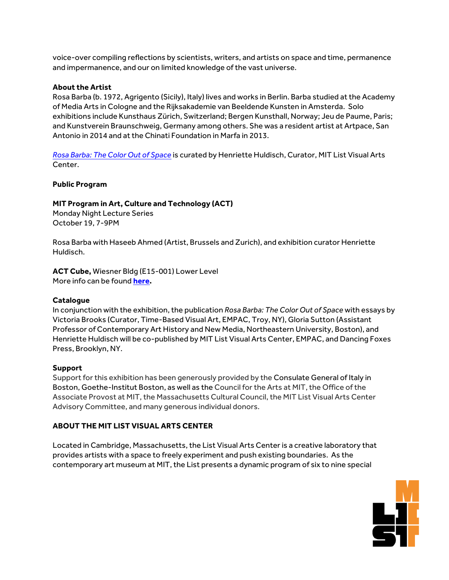voice-over compiling reflections by scientists, writers, and artists on space and time, permanence and impermanence, and our on limited knowledge of the vast universe.

#### **About the Artist**

Rosa Barba (b. 1972, Agrigento (Sicily), Italy) lives and works in Berlin. Barba studied atthe Academy of Media Arts in Cologne and the Rijksakademie van Beeldende Kunsten in Amsterda. Solo exhibitions include Kunsthaus Zürich, Switzerland; Bergen Kunsthall, Norway; Jeu de Paume, Paris; and Kunstverein Braunschweig, Germany among others. She was a resident artist at Artpace, San Antonio in 2014 and at the Chinati Foundation in Marfa in 2013.

*Rosa [Barba:](https://listart.mit.edu/exhibitions/rosa-barba-color-out-space) The Color Out of Space* is curated by Henriette Huldisch, Curator, MIT List Visual Arts Center.

#### **Public Program**

## **MIT Program in Art, Culture and Technology (ACT)**

Monday Night Lecture Series October 19, 7-9PM

Rosa Barba with Haseeb Ahmed (Artist, Brussels and Zurich), and exhibition curator Henriette Huldisch.

**ACT Cube,** Wiesner Bldg (E15-001) Lower Level More info can be found **[here.](https://www.artistscreatingtogether.org/creative-cube)**

#### **Catalogue**

In conjunction with the exhibition, the publication *Rosa Barba: The Color Out of Space* with essays by Victoria Brooks (Curator, Time-Based Visual Art, EMPAC, Troy, NY), Gloria Sutton (Assistant Professor of Contemporary Art History and New Media, Northeastern University, Boston), and Henriette Huldisch will be co-published by MIT List Visual Arts Center, EMPAC, and Dancing Foxes Press, Brooklyn, NY.

#### **Support**

Support for this exhibition has been generously provided by the Consulate General of Italy in Boston, Goethe-Institut Boston, as well as the Council for the Arts at MIT, the Office of the Associate Provost at MIT, the Massachusetts Cultural Council, the MIT List Visual Arts Center Advisory Committee, and many generous individual donors.

## **ABOUT THE MIT LIST VISUAL ARTS CENTER**

Located in Cambridge, Massachusetts, the List Visual Arts Center is a creative laboratory that provides artists with a space to freely experiment and push existing boundaries. As the contemporary art museum at MIT, the List presents a dynamic program of six to nine special